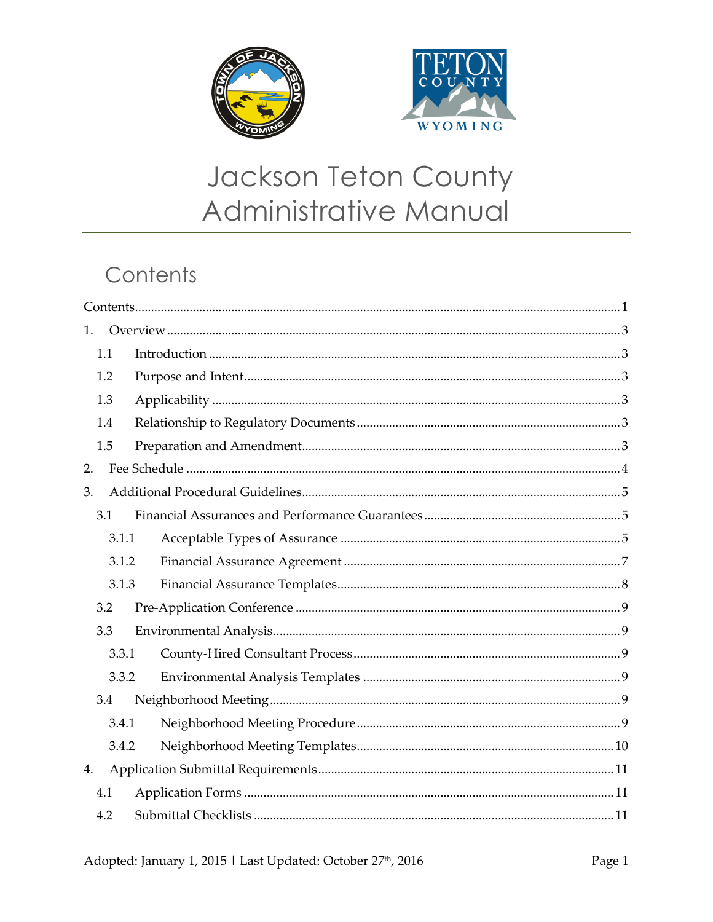



# Jackson Teton County Administrative Manual

# Contents

| 1.    |  |  |  |  |  |
|-------|--|--|--|--|--|
| 1.1   |  |  |  |  |  |
| 1.2   |  |  |  |  |  |
| 1.3   |  |  |  |  |  |
| 1.4   |  |  |  |  |  |
| 1.5   |  |  |  |  |  |
| 2.    |  |  |  |  |  |
| 3.    |  |  |  |  |  |
| 3.1   |  |  |  |  |  |
| 3.1.1 |  |  |  |  |  |
| 3.1.2 |  |  |  |  |  |
| 3.1.3 |  |  |  |  |  |
| 3.2   |  |  |  |  |  |
| 3.3   |  |  |  |  |  |
| 3.3.1 |  |  |  |  |  |
| 3.3.2 |  |  |  |  |  |
| 3.4   |  |  |  |  |  |
| 3.4.1 |  |  |  |  |  |
| 3.4.2 |  |  |  |  |  |
| 4.    |  |  |  |  |  |
| 4.1   |  |  |  |  |  |
| 4.2   |  |  |  |  |  |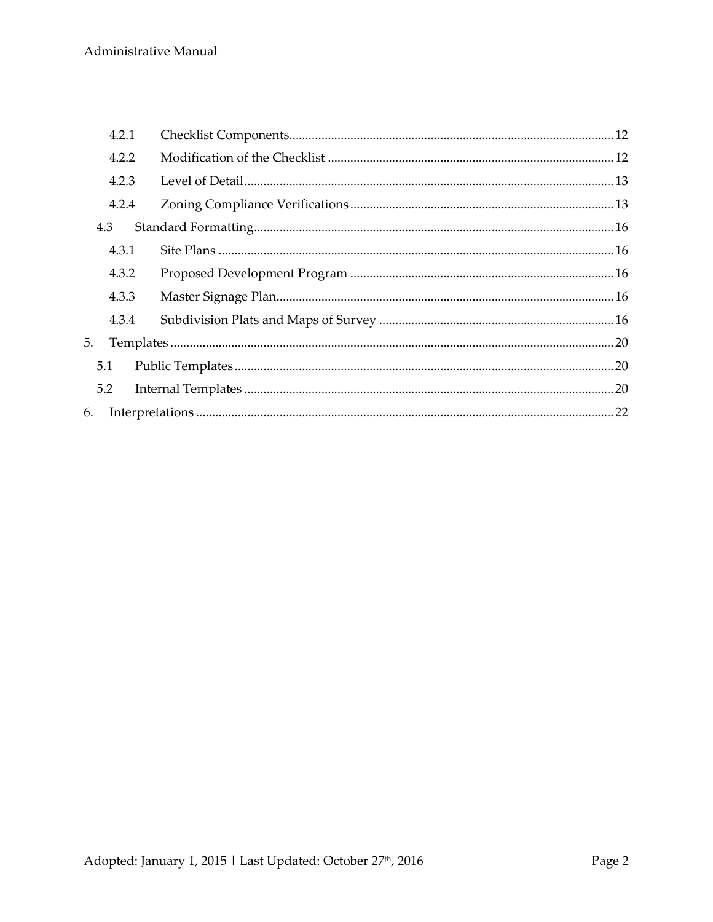| 4.2.1                                                                                                                                                                                                                                                                                                                                                                                             |  |  |  |  |
|---------------------------------------------------------------------------------------------------------------------------------------------------------------------------------------------------------------------------------------------------------------------------------------------------------------------------------------------------------------------------------------------------|--|--|--|--|
| 4.2.2                                                                                                                                                                                                                                                                                                                                                                                             |  |  |  |  |
| 4.2.3                                                                                                                                                                                                                                                                                                                                                                                             |  |  |  |  |
| 4.2.4                                                                                                                                                                                                                                                                                                                                                                                             |  |  |  |  |
|                                                                                                                                                                                                                                                                                                                                                                                                   |  |  |  |  |
| 4.3.1                                                                                                                                                                                                                                                                                                                                                                                             |  |  |  |  |
| 4.3.2                                                                                                                                                                                                                                                                                                                                                                                             |  |  |  |  |
| 4.3.3                                                                                                                                                                                                                                                                                                                                                                                             |  |  |  |  |
| 4.3.4                                                                                                                                                                                                                                                                                                                                                                                             |  |  |  |  |
| $\label{eq:replates} \textit{Templates} \textit{} \textit{} \textit{} \textit{} \textit{} \textit{} \textit{} \textit{} \textit{} \textit{} \textit{} \textit{} \textit{} \textit{} \textit{} \textit{} \textit{} \textit{} \textit{} \textit{} \textit{} \textit{} \textit{} \textit{} \textit{} \textit{} \textit{} \textit{} \textit{} \textit{} \textit{} \textit{} \textit{} \textit{$<br>5. |  |  |  |  |
|                                                                                                                                                                                                                                                                                                                                                                                                   |  |  |  |  |
|                                                                                                                                                                                                                                                                                                                                                                                                   |  |  |  |  |
| 6.                                                                                                                                                                                                                                                                                                                                                                                                |  |  |  |  |
|                                                                                                                                                                                                                                                                                                                                                                                                   |  |  |  |  |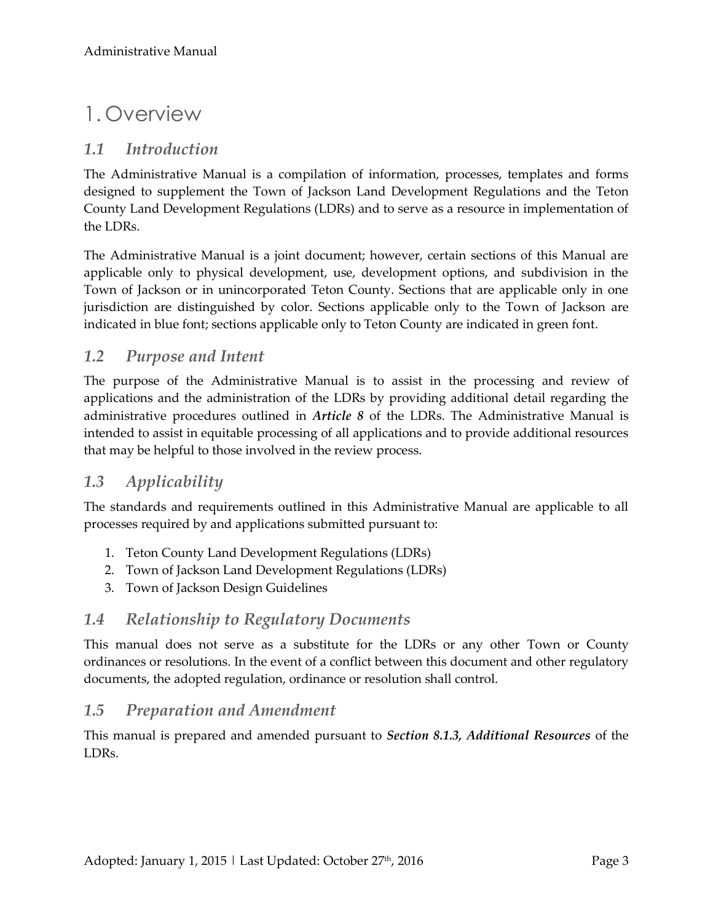# 1. Overview

## *1.1 Introduction*

The Administrative Manual is a compilation of information, processes, templates and forms designed to supplement the Town of Jackson Land Development Regulations and the Teton County Land Development Regulations (LDRs) and to serve as a resource in implementation of the LDRs.

The Administrative Manual is a joint document; however, certain sections of this Manual are applicable only to physical development, use, development options, and subdivision in the Town of Jackson or in unincorporated Teton County. Sections that are applicable only in one jurisdiction are distinguished by color. Sections applicable only to the Town of Jackson are indicated in blue font; sections applicable only to Teton County are indicated in green font.

## *1.2 Purpose and Intent*

The purpose of the Administrative Manual is to assist in the processing and review of applications and the administration of the LDRs by providing additional detail regarding the administrative procedures outlined in *Article 8* of the LDRs. The Administrative Manual is intended to assist in equitable processing of all applications and to provide additional resources that may be helpful to those involved in the review process.

## *1.3 Applicability*

The standards and requirements outlined in this Administrative Manual are applicable to all processes required by and applications submitted pursuant to:

- 1. Teton County Land Development Regulations (LDRs)
- 2. Town of Jackson Land Development Regulations (LDRs)
- 3. Town of Jackson Design Guidelines

### *1.4 Relationship to Regulatory Documents*

This manual does not serve as a substitute for the LDRs or any other Town or County ordinances or resolutions. In the event of a conflict between this document and other regulatory documents, the adopted regulation, ordinance or resolution shall control.

### *1.5 Preparation and Amendment*

This manual is prepared and amended pursuant to *Section 8.1.3, Additional Resources* of the LDRs.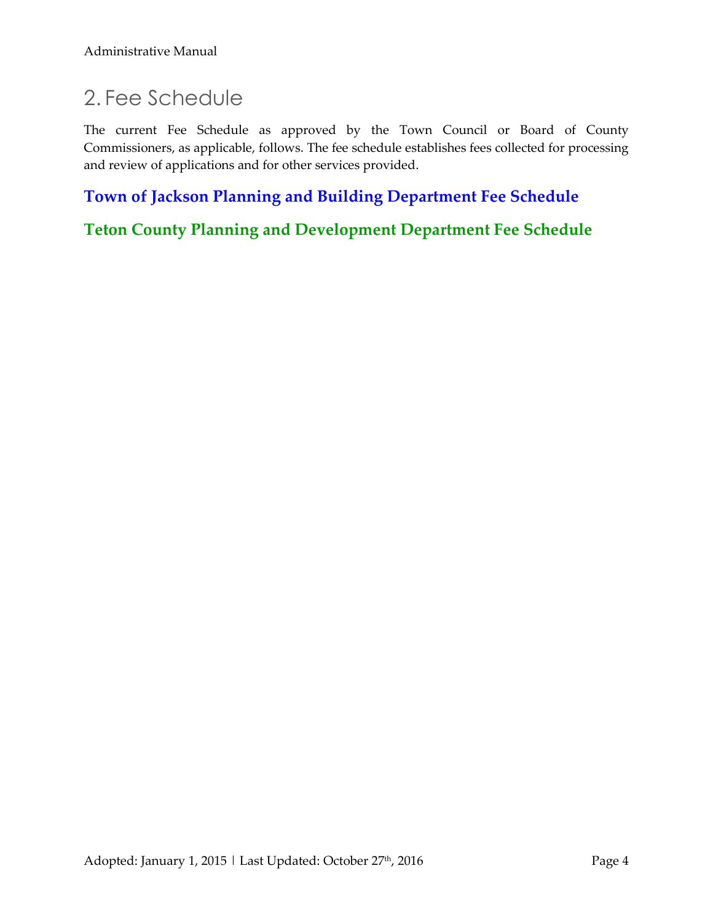# 2. Fee Schedule

The current Fee Schedule as approved by the Town Council or Board of County Commissioners, as applicable, follows. The fee schedule establishes fees collected for processing and review of applications and for other services provided.

# **[Town of Jackson Planning and Building Department Fee Schedule](http://townofjackson.com/files/8414/2074/1574/Resolution_15-03.pdf)**

**[Teton County Planning and Development Department Fee Schedule](http://www.tetoncountywy.gov/DocumentCenter/View/4869)**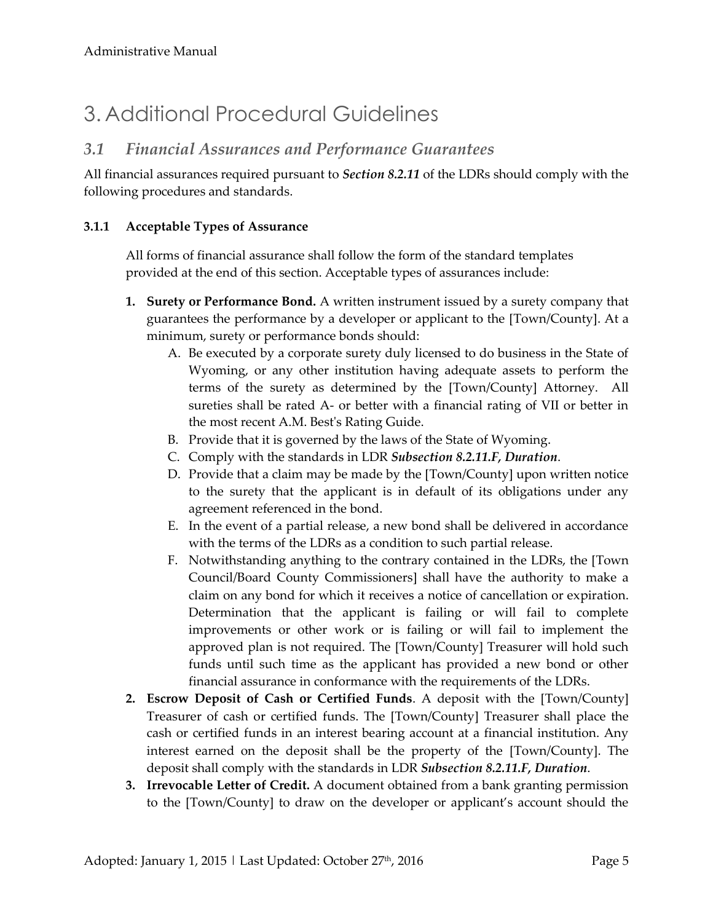# 3. Additional Procedural Guidelines

# *3.1 Financial Assurances and Performance Guarantees*

All financial assurances required pursuant to *Section 8.2.11* of the LDRs should comply with the following procedures and standards.

#### **3.1.1 Acceptable Types of Assurance**

All forms of financial assurance shall follow the form of the standard templates provided at the end of this section. Acceptable types of assurances include:

- **1. Surety or Performance Bond.** A written instrument issued by a surety company that guarantees the performance by a developer or applicant to the [Town/County]. At a minimum, surety or performance bonds should:
	- A. Be executed by a corporate surety duly licensed to do business in the State of Wyoming, or any other institution having adequate assets to perform the terms of the surety as determined by the [Town/County] Attorney. All sureties shall be rated A- or better with a financial rating of VII or better in the most recent A.M. Best's Rating Guide.
	- B. Provide that it is governed by the laws of the State of Wyoming.
	- C. Comply with the standards in LDR *Subsection 8.2.11.F, Duration*.
	- D. Provide that a claim may be made by the [Town/County] upon written notice to the surety that the applicant is in default of its obligations under any agreement referenced in the bond.
	- E. In the event of a partial release, a new bond shall be delivered in accordance with the terms of the LDRs as a condition to such partial release.
	- F. Notwithstanding anything to the contrary contained in the LDRs, the [Town Council/Board County Commissioners] shall have the authority to make a claim on any bond for which it receives a notice of cancellation or expiration. Determination that the applicant is failing or will fail to complete improvements or other work or is failing or will fail to implement the approved plan is not required. The [Town/County] Treasurer will hold such funds until such time as the applicant has provided a new bond or other financial assurance in conformance with the requirements of the LDRs.
- **2. Escrow Deposit of Cash or Certified Funds**. A deposit with the [Town/County] Treasurer of cash or certified funds. The [Town/County] Treasurer shall place the cash or certified funds in an interest bearing account at a financial institution. Any interest earned on the deposit shall be the property of the [Town/County]. The deposit shall comply with the standards in LDR *Subsection 8.2.11.F, Duration*.
- **3. Irrevocable Letter of Credit.** A document obtained from a bank granting permission to the [Town/County] to draw on the developer or applicant's account should the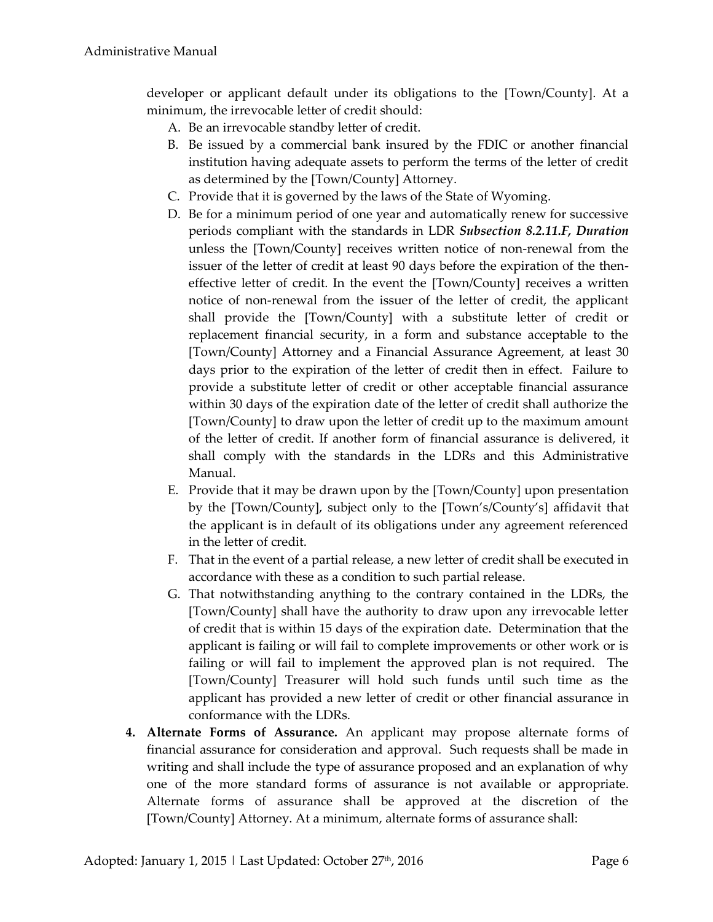developer or applicant default under its obligations to the [Town/County]. At a minimum, the irrevocable letter of credit should:

- A. Be an irrevocable standby letter of credit.
- B. Be issued by a commercial bank insured by the FDIC or another financial institution having adequate assets to perform the terms of the letter of credit as determined by the [Town/County] Attorney.
- C. Provide that it is governed by the laws of the State of Wyoming.
- D. Be for a minimum period of one year and automatically renew for successive periods compliant with the standards in LDR *Subsection 8.2.11.F, Duration* unless the [Town/County] receives written notice of non-renewal from the issuer of the letter of credit at least 90 days before the expiration of the theneffective letter of credit. In the event the [Town/County] receives a written notice of non-renewal from the issuer of the letter of credit, the applicant shall provide the [Town/County] with a substitute letter of credit or replacement financial security, in a form and substance acceptable to the [Town/County] Attorney and a Financial Assurance Agreement, at least 30 days prior to the expiration of the letter of credit then in effect. Failure to provide a substitute letter of credit or other acceptable financial assurance within 30 days of the expiration date of the letter of credit shall authorize the [Town/County] to draw upon the letter of credit up to the maximum amount of the letter of credit. If another form of financial assurance is delivered, it shall comply with the standards in the LDRs and this Administrative Manual.
- E. Provide that it may be drawn upon by the [Town/County] upon presentation by the [Town/County], subject only to the [Town's/County's] affidavit that the applicant is in default of its obligations under any agreement referenced in the letter of credit.
- F. That in the event of a partial release, a new letter of credit shall be executed in accordance with these as a condition to such partial release.
- G. That notwithstanding anything to the contrary contained in the LDRs, the [Town/County] shall have the authority to draw upon any irrevocable letter of credit that is within 15 days of the expiration date. Determination that the applicant is failing or will fail to complete improvements or other work or is failing or will fail to implement the approved plan is not required. The [Town/County] Treasurer will hold such funds until such time as the applicant has provided a new letter of credit or other financial assurance in conformance with the LDRs.
- **4. Alternate Forms of Assurance.** An applicant may propose alternate forms of financial assurance for consideration and approval. Such requests shall be made in writing and shall include the type of assurance proposed and an explanation of why one of the more standard forms of assurance is not available or appropriate. Alternate forms of assurance shall be approved at the discretion of the [Town/County] Attorney. At a minimum, alternate forms of assurance shall: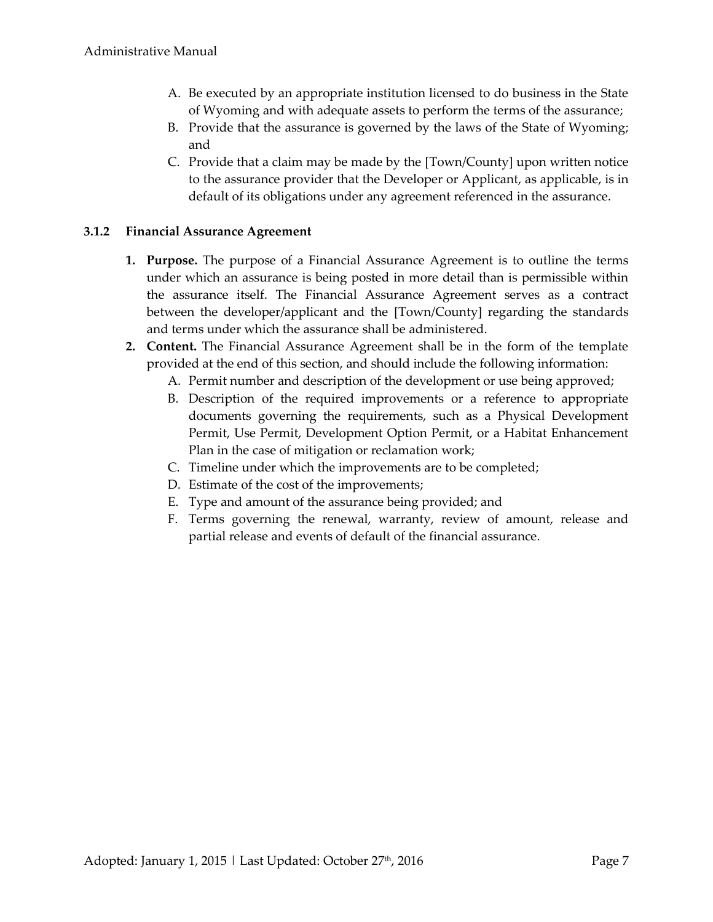- A. Be executed by an appropriate institution licensed to do business in the State of Wyoming and with adequate assets to perform the terms of the assurance;
- B. Provide that the assurance is governed by the laws of the State of Wyoming; and
- C. Provide that a claim may be made by the [Town/County] upon written notice to the assurance provider that the Developer or Applicant, as applicable, is in default of its obligations under any agreement referenced in the assurance.

#### **3.1.2 Financial Assurance Agreement**

- **1. Purpose.** The purpose of a Financial Assurance Agreement is to outline the terms under which an assurance is being posted in more detail than is permissible within the assurance itself. The Financial Assurance Agreement serves as a contract between the developer/applicant and the [Town/County] regarding the standards and terms under which the assurance shall be administered.
- **2. Content.** The Financial Assurance Agreement shall be in the form of the template provided at the end of this section, and should include the following information:
	- A. Permit number and description of the development or use being approved;
	- B. Description of the required improvements or a reference to appropriate documents governing the requirements, such as a Physical Development Permit, Use Permit, Development Option Permit, or a Habitat Enhancement Plan in the case of mitigation or reclamation work;
	- C. Timeline under which the improvements are to be completed;
	- D. Estimate of the cost of the improvements;
	- E. Type and amount of the assurance being provided; and
	- F. Terms governing the renewal, warranty, review of amount, release and partial release and events of default of the financial assurance.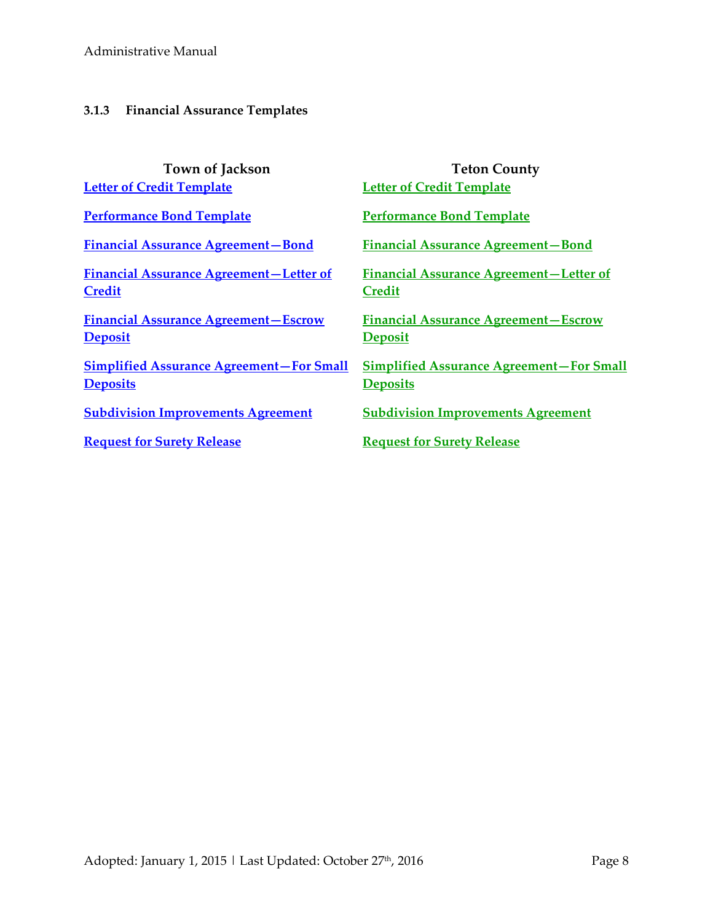#### **3.1.3 Financial Assurance Templates**

| <b>Town of Jackson</b><br><b>Letter of Credit Template</b>         | <b>Teton County</b><br><b>Letter of Credit Template</b>            |
|--------------------------------------------------------------------|--------------------------------------------------------------------|
|                                                                    |                                                                    |
| <b>Performance Bond Template</b>                                   | <b>Performance Bond Template</b>                                   |
| <b>Financial Assurance Agreement-Bond</b>                          | <b>Financial Assurance Agreement-Bond</b>                          |
| <b>Financial Assurance Agreement-Letter of</b><br><b>Credit</b>    | <b>Financial Assurance Agreement-Letter of</b><br><b>Credit</b>    |
| <b>Financial Assurance Agreement - Escrow</b><br><b>Deposit</b>    | <b>Financial Assurance Agreement - Escrow</b><br><b>Deposit</b>    |
|                                                                    |                                                                    |
| <b>Simplified Assurance Agreement-For Small</b><br><b>Deposits</b> | <b>Simplified Assurance Agreement-For Small</b><br><b>Deposits</b> |
| <b>Subdivision Improvements Agreement</b>                          | <b>Subdivision Improvements Agreement</b>                          |
| <b>Request for Surety Release</b>                                  | <b>Request for Surety Release</b>                                  |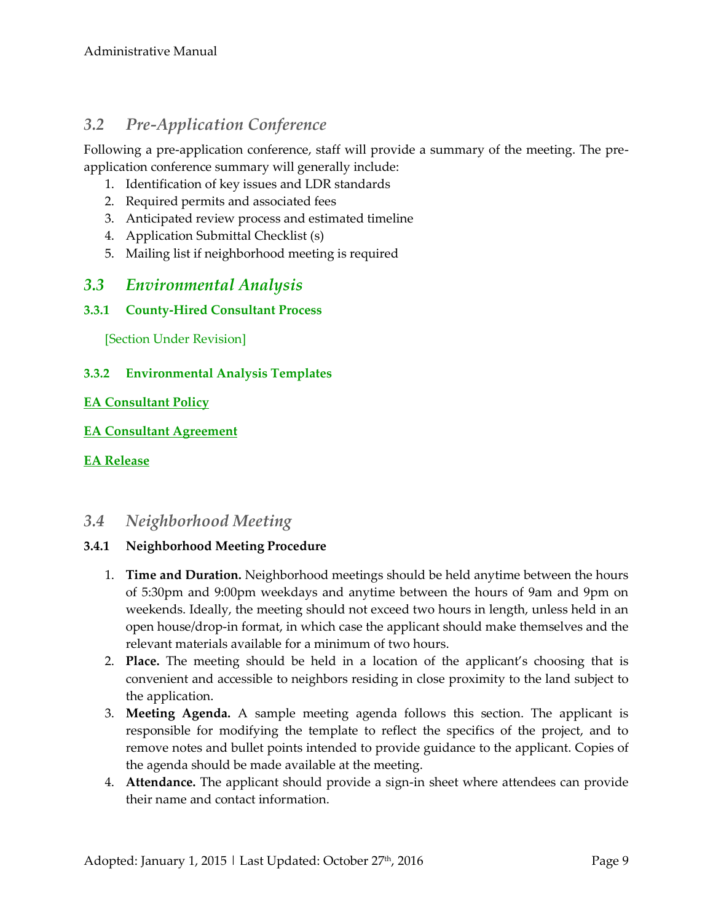# *3.2 Pre-Application Conference*

Following a pre-application conference, staff will provide a summary of the meeting. The preapplication conference summary will generally include:

- 1. Identification of key issues and LDR standards
- 2. Required permits and associated fees
- 3. Anticipated review process and estimated timeline
- 4. Application Submittal Checklist (s)
- 5. Mailing list if neighborhood meeting is required

## *3.3 Environmental Analysis*

#### **3.3.1 County-Hired Consultant Process**

[Section Under Revision]

#### **3.3.2 Environmental Analysis Templates**

#### **[EA Consultant Policy](http://www.tetoncountywy.gov/DocumentCenter/View/4853)**

#### **[EA Consultant Agreement](http://www.tetoncountywy.gov/DocumentCenter/View/4852)**

#### **[EA Release](http://www.tetoncountywy.gov/DocumentCenter/View/4854)**

## *3.4 Neighborhood Meeting*

#### **3.4.1 Neighborhood Meeting Procedure**

- 1. **Time and Duration.** Neighborhood meetings should be held anytime between the hours of 5:30pm and 9:00pm weekdays and anytime between the hours of 9am and 9pm on weekends. Ideally, the meeting should not exceed two hours in length, unless held in an open house/drop-in format, in which case the applicant should make themselves and the relevant materials available for a minimum of two hours.
- 2. **Place.** The meeting should be held in a location of the applicant's choosing that is convenient and accessible to neighbors residing in close proximity to the land subject to the application.
- 3. **Meeting Agenda.** A sample meeting agenda follows this section. The applicant is responsible for modifying the template to reflect the specifics of the project, and to remove notes and bullet points intended to provide guidance to the applicant. Copies of the agenda should be made available at the meeting.
- 4. **Attendance.** The applicant should provide a sign-in sheet where attendees can provide their name and contact information.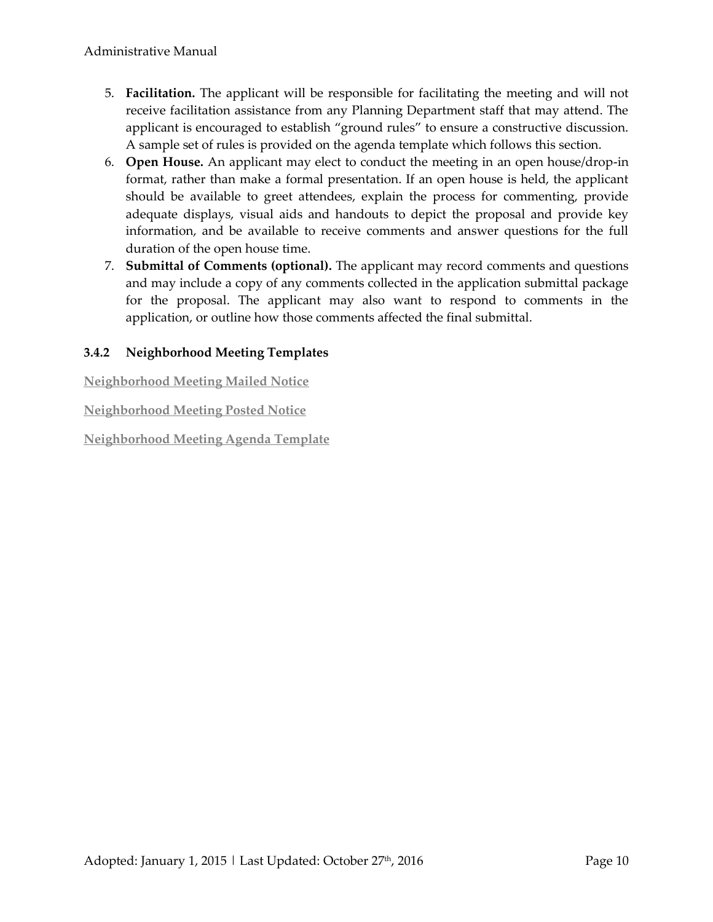- 5. **Facilitation.** The applicant will be responsible for facilitating the meeting and will not receive facilitation assistance from any Planning Department staff that may attend. The applicant is encouraged to establish "ground rules" to ensure a constructive discussion. A sample set of rules is provided on the agenda template which follows this section.
- 6. **Open House.** An applicant may elect to conduct the meeting in an open house/drop-in format, rather than make a formal presentation. If an open house is held, the applicant should be available to greet attendees, explain the process for commenting, provide adequate displays, visual aids and handouts to depict the proposal and provide key information, and be available to receive comments and answer questions for the full duration of the open house time.
- 7. **Submittal of Comments (optional).** The applicant may record comments and questions and may include a copy of any comments collected in the application submittal package for the proposal. The applicant may also want to respond to comments in the application, or outline how those comments affected the final submittal.

### **3.4.2 Neighborhood Meeting Templates**

**[Neighborhood Meeting Mailed Notice](http://www.tetoncountywy.gov/DocumentCenter/View/4870)** 

**[Neighborhood Meeting Posted Notice](http://www.tetoncountywy.gov/DocumentCenter/View/4871)** 

**[Neighborhood Meeting Agenda Template](http://www.tetoncountywy.gov/DocumentCenter/View/4872)**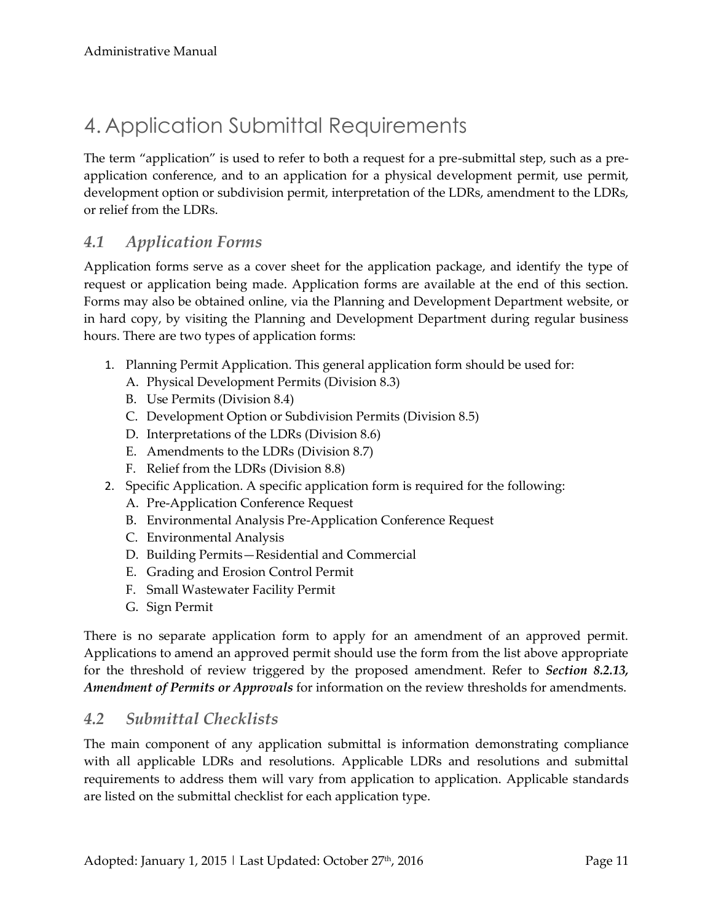# 4. Application Submittal Requirements

The term "application" is used to refer to both a request for a pre-submittal step, such as a preapplication conference, and to an application for a physical development permit, use permit, development option or subdivision permit, interpretation of the LDRs, amendment to the LDRs, or relief from the LDRs.

# *4.1 Application Forms*

Application forms serve as a cover sheet for the application package, and identify the type of request or application being made. Application forms are available at the end of this section. Forms may also be obtained online, via the Planning and Development Department website, or in hard copy, by visiting the Planning and Development Department during regular business hours. There are two types of application forms:

- 1. Planning Permit Application. This general application form should be used for:
	- A. Physical Development Permits (Division 8.3)
	- B. Use Permits (Division 8.4)
	- C. Development Option or Subdivision Permits (Division 8.5)
	- D. Interpretations of the LDRs (Division 8.6)
	- E. Amendments to the LDRs (Division 8.7)
	- F. Relief from the LDRs (Division 8.8)
- 2. Specific Application. A specific application form is required for the following:
	- A. Pre-Application Conference Request
	- B. Environmental Analysis Pre-Application Conference Request
	- C. Environmental Analysis
	- D. Building Permits—Residential and Commercial
	- E. Grading and Erosion Control Permit
	- F. Small Wastewater Facility Permit
	- G. Sign Permit

There is no separate application form to apply for an amendment of an approved permit. Applications to amend an approved permit should use the form from the list above appropriate for the threshold of review triggered by the proposed amendment. Refer to *Section 8.2.13, Amendment of Permits or Approvals* for information on the review thresholds for amendments.

## *4.2 Submittal Checklists*

The main component of any application submittal is information demonstrating compliance with all applicable LDRs and resolutions. Applicable LDRs and resolutions and submittal requirements to address them will vary from application to application. Applicable standards are listed on the submittal checklist for each application type.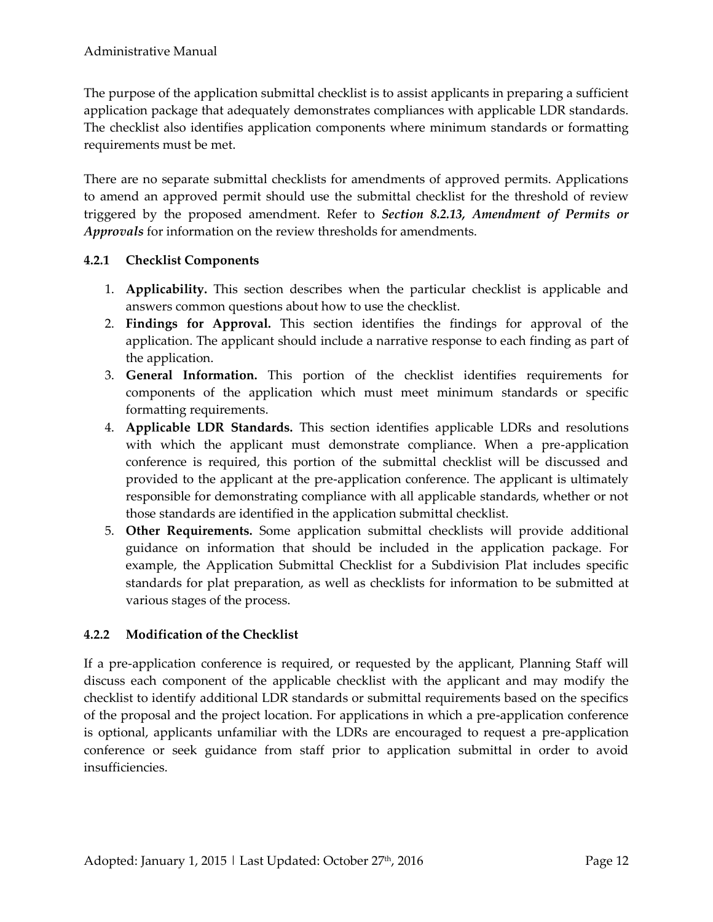The purpose of the application submittal checklist is to assist applicants in preparing a sufficient application package that adequately demonstrates compliances with applicable LDR standards. The checklist also identifies application components where minimum standards or formatting requirements must be met.

There are no separate submittal checklists for amendments of approved permits. Applications to amend an approved permit should use the submittal checklist for the threshold of review triggered by the proposed amendment. Refer to *Section 8.2.13, Amendment of Permits or Approvals* for information on the review thresholds for amendments.

#### **4.2.1 Checklist Components**

- 1. **Applicability.** This section describes when the particular checklist is applicable and answers common questions about how to use the checklist.
- 2. **Findings for Approval.** This section identifies the findings for approval of the application. The applicant should include a narrative response to each finding as part of the application.
- 3. **General Information.** This portion of the checklist identifies requirements for components of the application which must meet minimum standards or specific formatting requirements.
- 4. **Applicable LDR Standards.** This section identifies applicable LDRs and resolutions with which the applicant must demonstrate compliance. When a pre-application conference is required, this portion of the submittal checklist will be discussed and provided to the applicant at the pre-application conference. The applicant is ultimately responsible for demonstrating compliance with all applicable standards, whether or not those standards are identified in the application submittal checklist.
- 5. **Other Requirements.** Some application submittal checklists will provide additional guidance on information that should be included in the application package. For example, the Application Submittal Checklist for a Subdivision Plat includes specific standards for plat preparation, as well as checklists for information to be submitted at various stages of the process.

### **4.2.2 Modification of the Checklist**

If a pre-application conference is required, or requested by the applicant, Planning Staff will discuss each component of the applicable checklist with the applicant and may modify the checklist to identify additional LDR standards or submittal requirements based on the specifics of the proposal and the project location. For applications in which a pre-application conference is optional, applicants unfamiliar with the LDRs are encouraged to request a pre-application conference or seek guidance from staff prior to application submittal in order to avoid insufficiencies.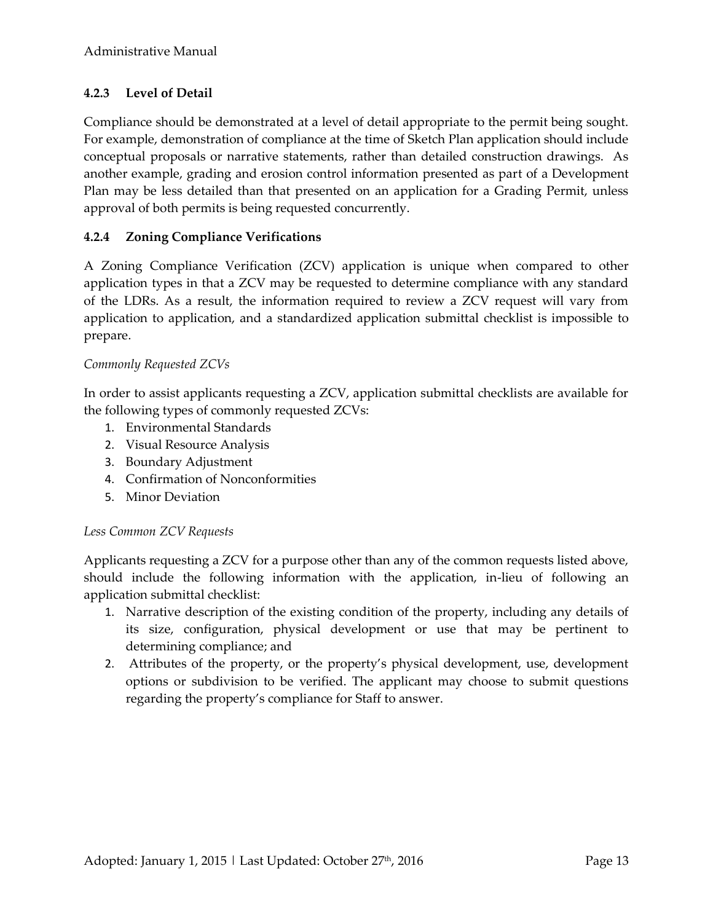### **4.2.3 Level of Detail**

Compliance should be demonstrated at a level of detail appropriate to the permit being sought. For example, demonstration of compliance at the time of Sketch Plan application should include conceptual proposals or narrative statements, rather than detailed construction drawings. As another example, grading and erosion control information presented as part of a Development Plan may be less detailed than that presented on an application for a Grading Permit, unless approval of both permits is being requested concurrently.

#### **4.2.4 Zoning Compliance Verifications**

A Zoning Compliance Verification (ZCV) application is unique when compared to other application types in that a ZCV may be requested to determine compliance with any standard of the LDRs. As a result, the information required to review a ZCV request will vary from application to application, and a standardized application submittal checklist is impossible to prepare.

#### *Commonly Requested ZCVs*

In order to assist applicants requesting a ZCV, application submittal checklists are available for the following types of commonly requested ZCVs:

- 1. Environmental Standards
- 2. Visual Resource Analysis
- 3. Boundary Adjustment
- 4. Confirmation of Nonconformities
- 5. Minor Deviation

#### *Less Common ZCV Requests*

Applicants requesting a ZCV for a purpose other than any of the common requests listed above, should include the following information with the application, in-lieu of following an application submittal checklist:

- 1. Narrative description of the existing condition of the property, including any details of its size, configuration, physical development or use that may be pertinent to determining compliance; and
- 2. Attributes of the property, or the property's physical development, use, development options or subdivision to be verified. The applicant may choose to submit questions regarding the property's compliance for Staff to answer.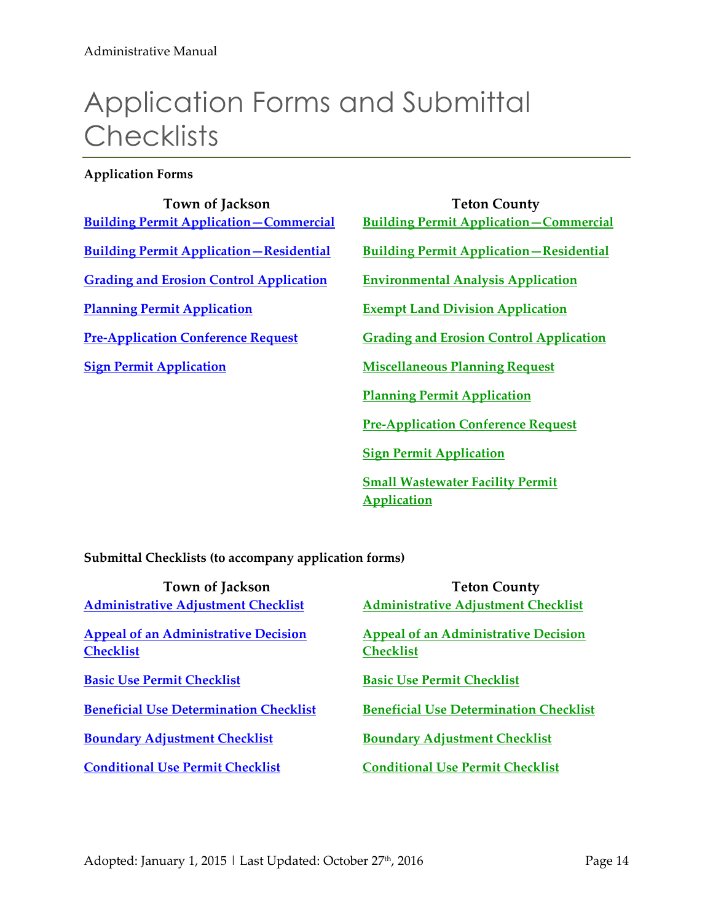# Application Forms and Submittal **Checklists**

#### **Application Forms**

| Town of Jackson                                | <b>Teton County</b>                            |
|------------------------------------------------|------------------------------------------------|
| <b>Building Permit Application-Commercial</b>  | <b>Building Permit Application-Commercial</b>  |
| <b>Building Permit Application-Residential</b> | <b>Building Permit Application-Residential</b> |
| <b>Grading and Erosion Control Application</b> | <b>Environmental Analysis Application</b>      |
| <b>Planning Permit Application</b>             | <b>Exempt Land Division Application</b>        |
| <b>Pre-Application Conference Request</b>      | <b>Grading and Erosion Control Application</b> |
| <b>Sign Permit Application</b>                 | <b>Miscellaneous Planning Request</b>          |
|                                                | <b>Planning Permit Application</b>             |
|                                                | <b>Pre-Application Conference Request</b>      |
|                                                | <b>Sign Permit Application</b>                 |
|                                                |                                                |

**[Small Wastewater Facility Permit](ttp://www.tetoncountywy.gov/DocumentCenter/View/1513)  Application**

**Submittal Checklists (to accompany application forms)** 

| <b>Town of Jackson</b>                        | <b>Teton County</b>                           |
|-----------------------------------------------|-----------------------------------------------|
| <b>Administrative Adjustment Checklist</b>    | <b>Administrative Adjustment Checklist</b>    |
| <b>Appeal of an Administrative Decision</b>   | <b>Appeal of an Administrative Decision</b>   |
| <b>Checklist</b>                              | <b>Checklist</b>                              |
| <b>Basic Use Permit Checklist</b>             | <b>Basic Use Permit Checklist</b>             |
| <b>Beneficial Use Determination Checklist</b> | <b>Beneficial Use Determination Checklist</b> |
| <b>Boundary Adjustment Checklist</b>          | <b>Boundary Adjustment Checklist</b>          |
| <b>Conditional Use Permit Checklist</b>       | <b>Conditional Use Permit Checklist</b>       |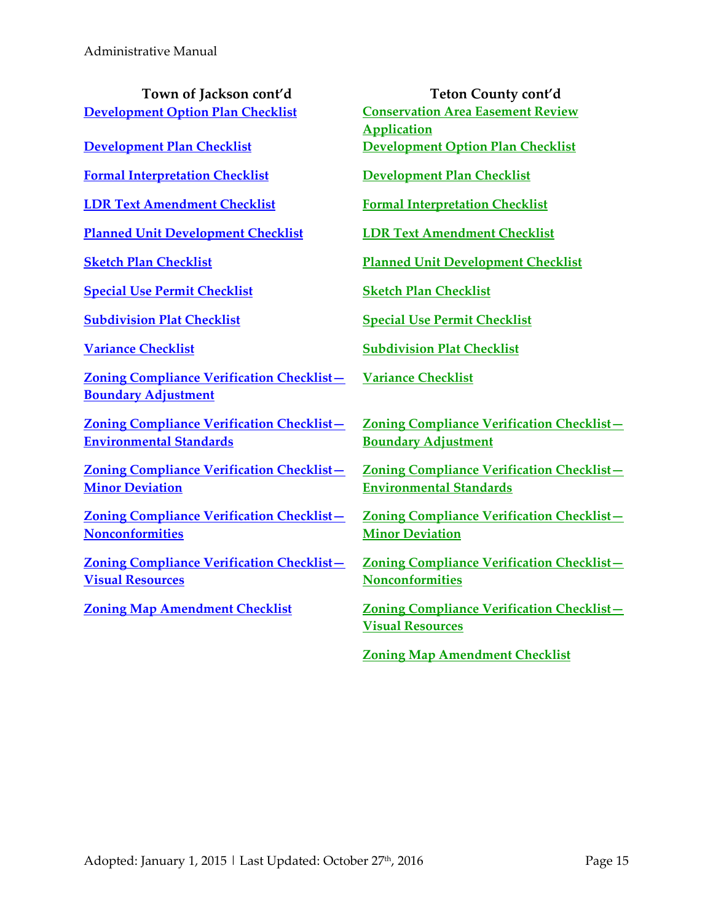**[Development Option Plan Checklist](http://townofjackson.com/files/8614/2075/4894/DOP_Checklist_editable.pdf) <b>Conservation Area Easement Review** 

**[Formal Interpretation Checklist](http://townofjackson.com/files/1314/2075/4916/INT_Checklist_editable.pdf) [Development Plan Checklist](http://www.tetoncountywy.gov/DocumentCenter/View/3388)**

**LDR Text [Amendment Checklist](http://townofjackson.com/files/8714/2075/4582/AMD_Checklist_editable.pdf) [Formal Interpretation Checklist](http://www.tetoncountywy.gov/DocumentCenter/View/3389)**

**[Planned Unit Development Checklist](http://townofjackson.com/files/2114/2075/4935/PUD_Checklist_editable.pdf) [LDR Text Amendment Checklist](http://www.tetoncountywy.gov/DocumentCenter/View/3390)**

**[Special Use Permit Checklist](http://townofjackson.com/files/5214/2075/5003/SUP_Checklist_editable.pdf) [Sketch Plan Checklist](http://www.tetoncountywy.gov/DocumentCenter/View/3392)**

**[Zoning Compliance Verification Checklist](http://townofjackson.com/files/2414/2075/5044/ZCV_BDJ_Checklist_editable.pdf)— Boundary Adjustment**

**[Zoning Compliance Verification Checklist](http://townofjackson.com/files/4114/2075/5063/ZCV_Environmental_Checklist_editable.pdf)— Environmental Standards**

**[Zoning Compliance Verification Checklist](http://townofjackson.com/files/8314/2075/5090/ZCV_MDV_Checklist_editable.pdf)— Minor Deviation**

**[Zoning Compliance Verification Checklist](http://townofjackson.com/files/9714/2075/5110/ZCV_Nonconformities_Checklist_editable.pdf)— Nonconformities**

**[Zoning Compliance Verification Checklist](http://townofjackson.com/files/7914/2075/5129/ZCV_VRA_Checklist_editable.pdf)— Visual Resources**

**Town of Jackson cont'd Teton County cont'd**

**Application [Development Plan Checklist](http://townofjackson.com/files/7414/2075/4877/DEV_Checklist_editable.pdf) [Development Option Plan Checklist](http://www.tetoncountywy.gov/DocumentCenter/View/3387)**

**[Sketch Plan Checklist](http://townofjackson.com/files/1214/2075/4979/SKC_Checklist_editable.pdf) [Planned Unit Development Checklist](http://www.tetoncountywy.gov/DocumentCenter/View/3391)**

**[Subdivision Plat Checklist](http://townofjackson.com/files/8414/2075/4960/S_D_Checklist_editable.pdf) [Special Use Permit Checklist](http://www.tetoncountywy.gov/DocumentCenter/View/3393)**

**[Variance Checklist](http://townofjackson.com/files/5114/2075/5022/VAR_Checklist_editable.pdf) [Subdivision Plat Checklist](http://www.tetoncountywy.gov/DocumentCenter/View/3394)**

**[Variance Checklist](http://www.tetoncountywy.gov/DocumentCenter/View/3395)**

**[Zoning Compliance Verification Checklist](http://www.tetoncountywy.gov/DocumentCenter/View/3396)— Boundary Adjustment**

**[Zoning Compliance Verification Checklist](http://www.tetoncountywy.gov/DocumentCenter/View/3398)— Environmental Standards**

**[Zoning Compliance Verification Checklist](http://www.tetoncountywy.gov/DocumentCenter/View/3397)— Minor Deviation**

**[Zoning Compliance Verification Checklist](http://www.tetoncountywy.gov/DocumentCenter/View/3400)— Nonconformities**

**[Zoning Map Amendment Checklist](http://townofjackson.com/files/7114/2075/5149/ZMA_Checklist_editable.pdf) [Zoning Compliance Verification Checklist](http://www.tetoncountywy.gov/DocumentCenter/View/3399)— Visual Resources**

**[Zoning Map Amendment Checklist](http://www.tetoncountywy.gov/DocumentCenter/View/3401)**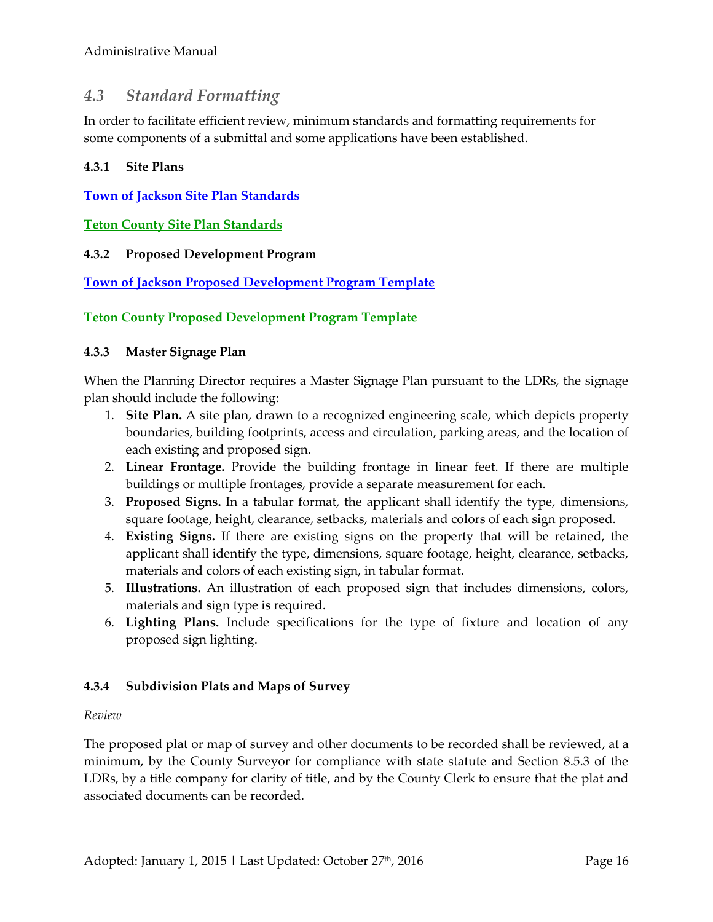# *4.3 Standard Formatting*

In order to facilitate efficient review, minimum standards and formatting requirements for some components of a submittal and some applications have been established.

#### **4.3.1 Site Plans**

**[Town of Jackson Site Plan Standards](http://www.tetoncountywy.gov/DocumentCenter/View/4874)** 

**[Teton County Site Plan Standards](http://www.tetoncountywy.gov/DocumentCenter/View/4851)** 

#### **4.3.2 Proposed Development Program**

**[Town of Jackson Proposed Development Program Template](http://www.tetoncountywy.gov/DocumentCenter/View/4874)**

#### **[Teton County Proposed Development Program Template](http://www.tetoncountywy.gov/DocumentCenter/View/4851)**

#### **4.3.3 Master Signage Plan**

When the Planning Director requires a Master Signage Plan pursuant to the LDRs, the signage plan should include the following:

- 1. **Site Plan.** A site plan, drawn to a recognized engineering scale, which depicts property boundaries, building footprints, access and circulation, parking areas, and the location of each existing and proposed sign.
- 2. **Linear Frontage.** Provide the building frontage in linear feet. If there are multiple buildings or multiple frontages, provide a separate measurement for each.
- 3. **Proposed Signs.** In a tabular format, the applicant shall identify the type, dimensions, square footage, height, clearance, setbacks, materials and colors of each sign proposed.
- 4. **Existing Signs.** If there are existing signs on the property that will be retained, the applicant shall identify the type, dimensions, square footage, height, clearance, setbacks, materials and colors of each existing sign, in tabular format.
- 5. **Illustrations.** An illustration of each proposed sign that includes dimensions, colors, materials and sign type is required.
- 6. **Lighting Plans.** Include specifications for the type of fixture and location of any proposed sign lighting.

#### **4.3.4 Subdivision Plats and Maps of Survey**

#### *Review*

The proposed plat or map of survey and other documents to be recorded shall be reviewed, at a minimum, by the County Surveyor for compliance with state statute and Section 8.5.3 of the LDRs, by a title company for clarity of title, and by the County Clerk to ensure that the plat and associated documents can be recorded.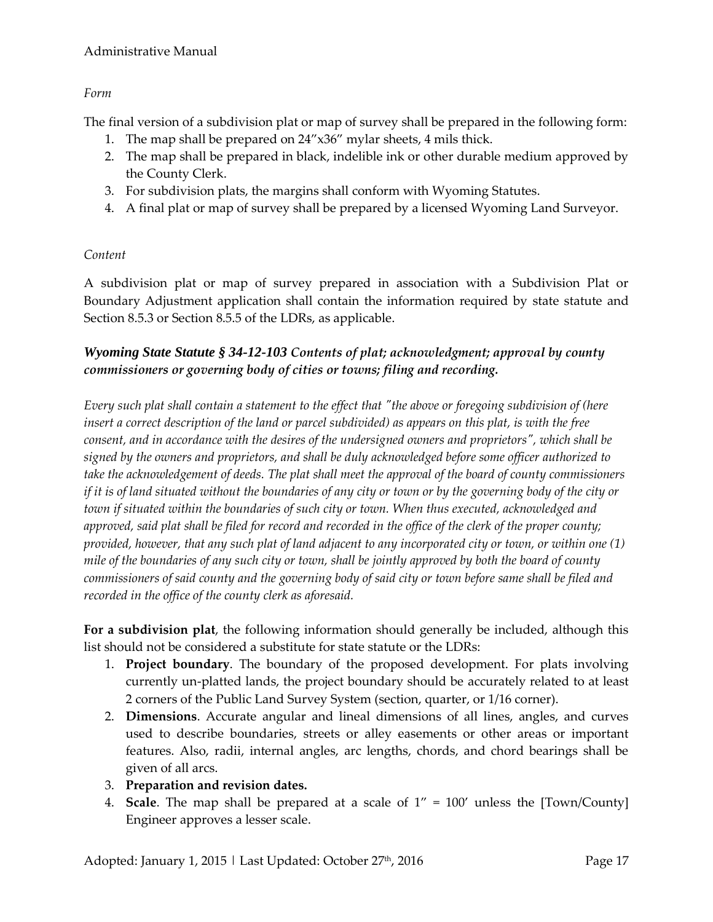#### Administrative Manual

*Form* 

The final version of a subdivision plat or map of survey shall be prepared in the following form:

- 1. The map shall be prepared on 24"x36" mylar sheets, 4 mils thick.
- 2. The map shall be prepared in black, indelible ink or other durable medium approved by the County Clerk.
- 3. For subdivision plats, the margins shall conform with Wyoming Statutes.
- 4. A final plat or map of survey shall be prepared by a licensed Wyoming Land Surveyor.

#### *Content*

A subdivision plat or map of survey prepared in association with a Subdivision Plat or Boundary Adjustment application shall contain the information required by state statute and Section 8.5.3 or Section 8.5.5 of the LDRs, as applicable.

### *Wyoming State Statute § 34-12-103 Contents of plat; acknowledgment; approval by county commissioners or governing body of cities or towns; filing and recording.*

*Every such plat shall contain a statement to the effect that "the above or foregoing subdivision of (here insert a correct description of the land or parcel subdivided) as appears on this plat, is with the free consent, and in accordance with the desires of the undersigned owners and proprietors", which shall be signed by the owners and proprietors, and shall be duly acknowledged before some officer authorized to take the acknowledgement of deeds. The plat shall meet the approval of the board of county commissioners if it is of land situated without the boundaries of any city or town or by the governing body of the city or town if situated within the boundaries of such city or town. When thus executed, acknowledged and approved, said plat shall be filed for record and recorded in the office of the clerk of the proper county; provided, however, that any such plat of land adjacent to any incorporated city or town, or within one (1) mile of the boundaries of any such city or town, shall be jointly approved by both the board of county commissioners of said county and the governing body of said city or town before same shall be filed and recorded in the office of the county clerk as aforesaid.* 

**For a subdivision plat**, the following information should generally be included, although this list should not be considered a substitute for state statute or the LDRs:

- 1. **Project boundary**. The boundary of the proposed development. For plats involving currently un-platted lands, the project boundary should be accurately related to at least 2 corners of the Public Land Survey System (section, quarter, or 1/16 corner).
- 2. **Dimensions**. Accurate angular and lineal dimensions of all lines, angles, and curves used to describe boundaries, streets or alley easements or other areas or important features. Also, radii, internal angles, arc lengths, chords, and chord bearings shall be given of all arcs.
- 3. **Preparation and revision dates.**
- 4. **Scale**. The map shall be prepared at a scale of 1" = 100' unless the [Town/County] Engineer approves a lesser scale.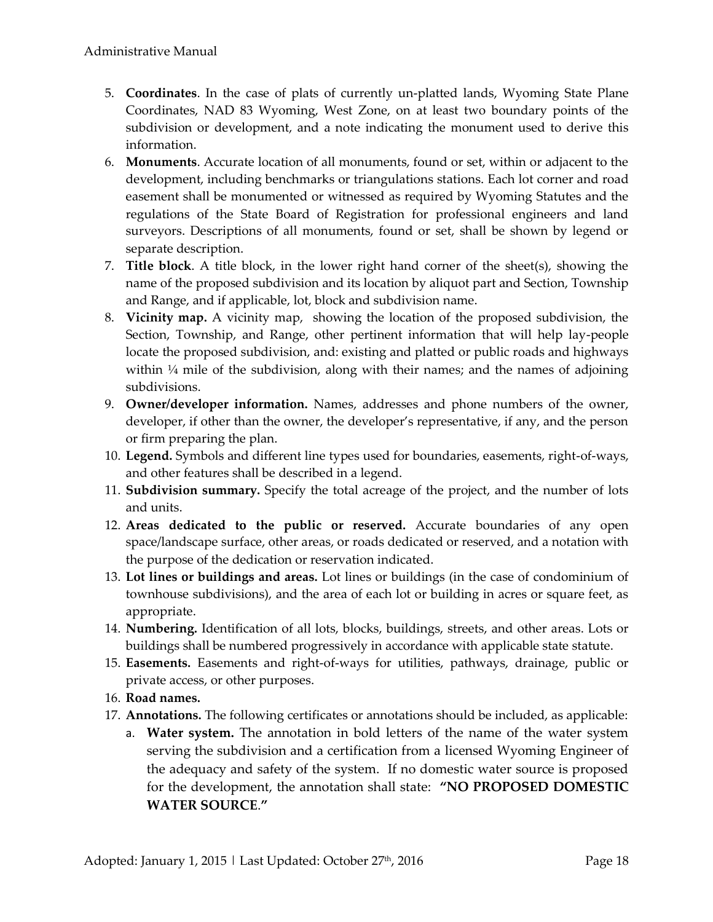- 5. **Coordinates**. In the case of plats of currently un-platted lands, Wyoming State Plane Coordinates, NAD 83 Wyoming, West Zone, on at least two boundary points of the subdivision or development, and a note indicating the monument used to derive this information.
- 6. **Monuments**. Accurate location of all monuments, found or set, within or adjacent to the development, including benchmarks or triangulations stations. Each lot corner and road easement shall be monumented or witnessed as required by Wyoming Statutes and the regulations of the State Board of Registration for professional engineers and land surveyors. Descriptions of all monuments, found or set, shall be shown by legend or separate description.
- 7. **Title block**. A title block, in the lower right hand corner of the sheet(s), showing the name of the proposed subdivision and its location by aliquot part and Section, Township and Range, and if applicable, lot, block and subdivision name.
- 8. **Vicinity map.** A vicinity map, showing the location of the proposed subdivision, the Section, Township, and Range, other pertinent information that will help lay-people locate the proposed subdivision, and: existing and platted or public roads and highways within 1/4 mile of the subdivision, along with their names; and the names of adjoining subdivisions.
- 9. **Owner/developer information.** Names, addresses and phone numbers of the owner, developer, if other than the owner, the developer's representative, if any, and the person or firm preparing the plan.
- 10. **Legend.** Symbols and different line types used for boundaries, easements, right-of-ways, and other features shall be described in a legend.
- 11. **Subdivision summary.** Specify the total acreage of the project, and the number of lots and units.
- 12. **Areas dedicated to the public or reserved.** Accurate boundaries of any open space/landscape surface, other areas, or roads dedicated or reserved, and a notation with the purpose of the dedication or reservation indicated.
- 13. **Lot lines or buildings and areas.** Lot lines or buildings (in the case of condominium of townhouse subdivisions), and the area of each lot or building in acres or square feet, as appropriate.
- 14. **Numbering.** Identification of all lots, blocks, buildings, streets, and other areas. Lots or buildings shall be numbered progressively in accordance with applicable state statute.
- 15. **Easements.** Easements and right-of-ways for utilities, pathways, drainage, public or private access, or other purposes.
- 16. **Road names.**
- 17. **Annotations.** The following certificates or annotations should be included, as applicable:
	- a. **Water system.** The annotation in bold letters of the name of the water system serving the subdivision and a certification from a licensed Wyoming Engineer of the adequacy and safety of the system. If no domestic water source is proposed for the development, the annotation shall state: **"NO PROPOSED DOMESTIC WATER SOURCE**.**"**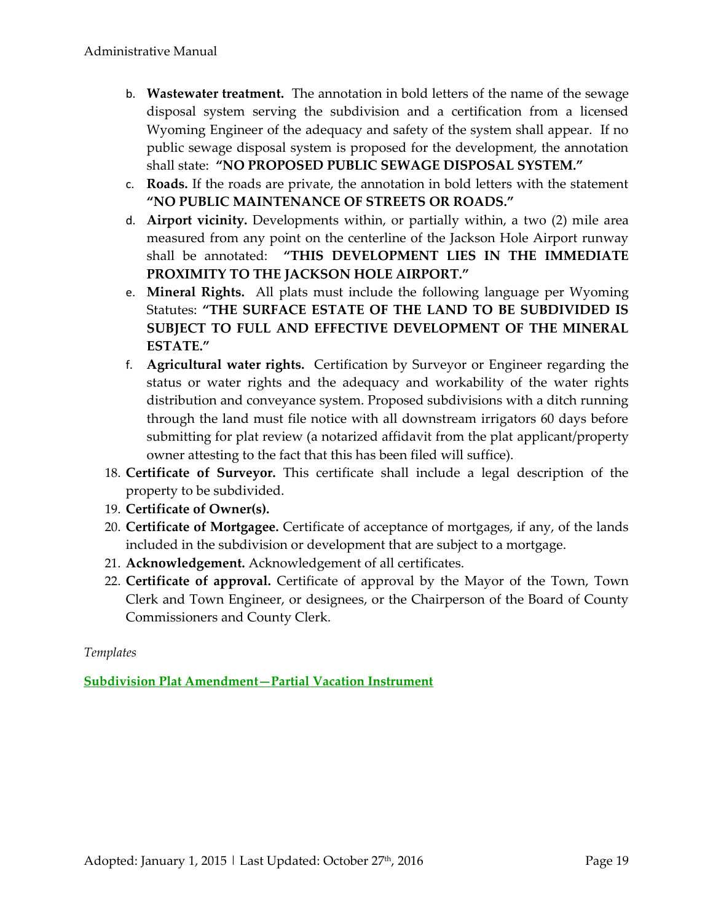- b. **Wastewater treatment.** The annotation in bold letters of the name of the sewage disposal system serving the subdivision and a certification from a licensed Wyoming Engineer of the adequacy and safety of the system shall appear. If no public sewage disposal system is proposed for the development, the annotation shall state: **"NO PROPOSED PUBLIC SEWAGE DISPOSAL SYSTEM."**
- c. **Roads.** If the roads are private, the annotation in bold letters with the statement **"NO PUBLIC MAINTENANCE OF STREETS OR ROADS."**
- d. **Airport vicinity.** Developments within, or partially within, a two (2) mile area measured from any point on the centerline of the Jackson Hole Airport runway shall be annotated: **"THIS DEVELOPMENT LIES IN THE IMMEDIATE PROXIMITY TO THE JACKSON HOLE AIRPORT."**
- e. **Mineral Rights.** All plats must include the following language per Wyoming Statutes: **"THE SURFACE ESTATE OF THE LAND TO BE SUBDIVIDED IS SUBJECT TO FULL AND EFFECTIVE DEVELOPMENT OF THE MINERAL ESTATE."**
- f. **Agricultural water rights.** Certification by Surveyor or Engineer regarding the status or water rights and the adequacy and workability of the water rights distribution and conveyance system. Proposed subdivisions with a ditch running through the land must file notice with all downstream irrigators 60 days before submitting for plat review (a notarized affidavit from the plat applicant/property owner attesting to the fact that this has been filed will suffice).
- 18. **Certificate of Surveyor.** This certificate shall include a legal description of the property to be subdivided.
- 19. **Certificate of Owner(s).**
- 20. **Certificate of Mortgagee.** Certificate of acceptance of mortgages, if any, of the lands included in the subdivision or development that are subject to a mortgage.
- 21. **Acknowledgement.** Acknowledgement of all certificates.
- 22. **Certificate of approval.** Certificate of approval by the Mayor of the Town, Town Clerk and Town Engineer, or designees, or the Chairperson of the Board of County Commissioners and County Clerk.

### *Templates*

**[Subdivision Plat Amendment](http://www.tetoncountywy.gov/DocumentCenter/View/4863)—Partial Vacation Instrument**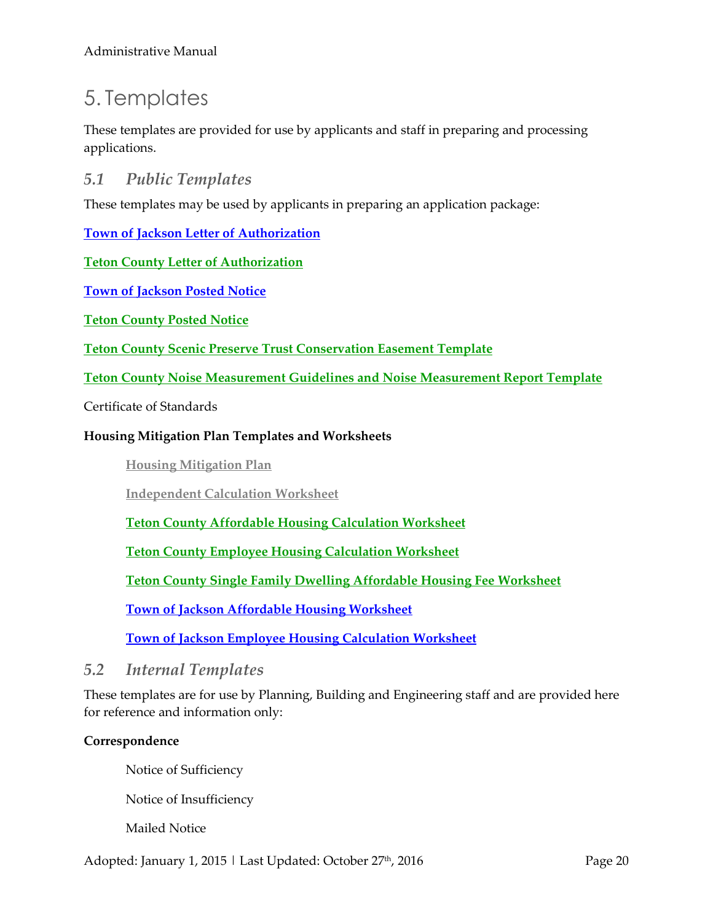# 5. Templates

These templates are provided for use by applicants and staff in preparing and processing applications.

### *5.1 Public Templates*

These templates may be used by applicants in preparing an application package:

**[Town of Jackson Letter of Authorization](http://townofjackson.com/files/2113/7459/7705/LetterOfAuthorization.pdf)**

#### **[Teton County Letter of Authorization](http://www.tetoncountywy.gov/DocumentCenter/View/3375)**

**[Town of Jackson Posted Notice](http://www.tetoncountywy.gov/DocumentCenter/View/4875)** 

**[Teton County Posted Notice](http://www.tetoncountywy.gov/DocumentCenter/View/4876)** 

**[Teton County Scenic Preserve Trust Conservation Easement](http://www.tetoncountywy.gov/DocumentCenter/View/4867) Template** 

**[Teton County Noise Measurement Guidelines and Noise Measurement Report Template](http://www.tetoncountywy.gov/DocumentCenter/View/4861)**

Certificate of Standards

#### **Housing Mitigation Plan Templates and Worksheets**

**[Housing Mitigation Plan](http://www.tetoncountywy.gov/DocumentCenter/View/4877)**

**[Independent Calculation Worksheet](http://www.tetoncountywy.gov/DocumentCenter/View/4878)**

**[Teton County Affordable Housing Calculation Worksheet](http://www.tetoncountywy.gov/DocumentCenter/View/4879)**

**[Teton County Employee Housing Calculation Worksheet](http://www.tetoncountywy.gov/DocumentCenter/View/4880)**

**[Teton County Single Family Dwelling Affordable Housing Fee Worksheet](http://www.tetoncountywy.gov/DocumentCenter/View/4881)**

**[Town of Jackson Affordable Housing Worksheet](http://www.tetoncountywy.gov/DocumentCenter/View/4882)**

**[Town of Jackson Employee Housing Calculation Worksheet](http://www.tetoncountywy.gov/DocumentCenter/View/4883)**

*5.2 Internal Templates* 

These templates are for use by Planning, Building and Engineering staff and are provided here for reference and information only:

#### **Correspondence**

Notice of Sufficiency

Notice of Insufficiency

Mailed Notice

Adopted: January 1, 2015 | Last Updated: October 27<sup>th</sup>, 2016 **Page 20** Page 20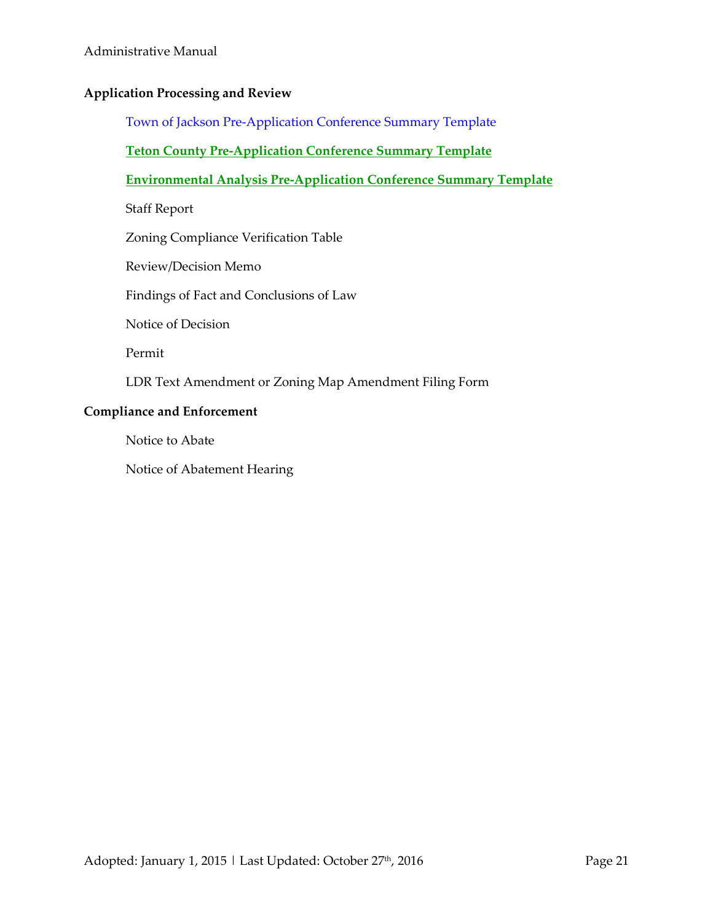#### Administrative Manual

#### **Application Processing and Review**

Town of Jackson Pre-Application Conference Summary Template

#### **[Teton County Pre-Application Conference Summary Template](http://www.tetoncountywy.gov/DocumentCenter/View/4862)**

#### **Environmental Analysis Pre-Application Conference Summary Template**

Staff Report

Zoning Compliance Verification Table

Review/Decision Memo

Findings of Fact and Conclusions of Law

Notice of Decision

Permit

LDR Text Amendment or Zoning Map Amendment Filing Form

#### **Compliance and Enforcement**

Notice to Abate

Notice of Abatement Hearing